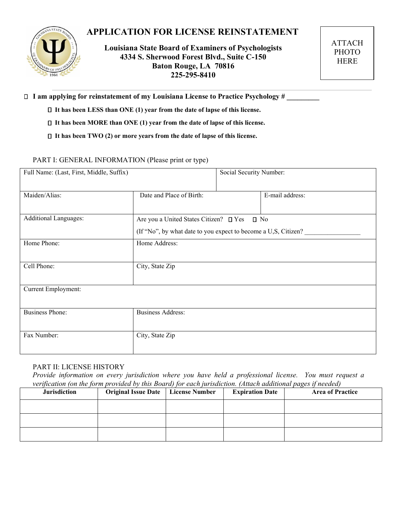# **APPLICATION FOR LICENSE REINSTATEMENT**



**Louisiana State Board of Examiners of Psychologists 4334 S. Sherwood Forest Blvd., Suite C-150 Baton Rouge, LA 70816 225-295-8410**

ATTACH PHOTO HERE

□ I am applying for reinstatement of my Louisiana License to Practice Psychology #

- **It has been LESS than ONE (1) year from the date of lapse of this license.**
- **It has been MORE than ONE (1) year from the date of lapse of this license.**
- **It has been TWO (2) or more years from the date of lapse of this license.**

#### PART I: GENERAL INFORMATION (Please print or type)

| Full Name: (Last, First, Middle, Suffix) |                                                                                                               | Social Security Number: |                 |
|------------------------------------------|---------------------------------------------------------------------------------------------------------------|-------------------------|-----------------|
| Maiden/Alias:                            | Date and Place of Birth:                                                                                      |                         | E-mail address: |
| <b>Additional Languages:</b>             | Are you a United States Citizen? □ Yes □ No<br>(If "No", by what date to you expect to become a U,S, Citizen? |                         |                 |
| Home Phone:                              | Home Address:                                                                                                 |                         |                 |
| Cell Phone:                              | City, State Zip                                                                                               |                         |                 |
| Current Employment:                      |                                                                                                               |                         |                 |
| <b>Business Phone:</b>                   | <b>Business Address:</b>                                                                                      |                         |                 |
| Fax Number:                              | City, State Zip                                                                                               |                         |                 |

### PART II: LICENSE HISTORY

*Provide information on every jurisdiction where you have held a professional license. You must request a verification (on the form provided by this Board) for each jurisdiction. (Attach additional pages if needed)*

| <b>Jurisdiction</b> | <b>Original Issue Date</b> | <b>License Number</b> | <b>Expiration Date</b> | <b>Area of Practice</b> |
|---------------------|----------------------------|-----------------------|------------------------|-------------------------|
|                     |                            |                       |                        |                         |
|                     |                            |                       |                        |                         |
|                     |                            |                       |                        |                         |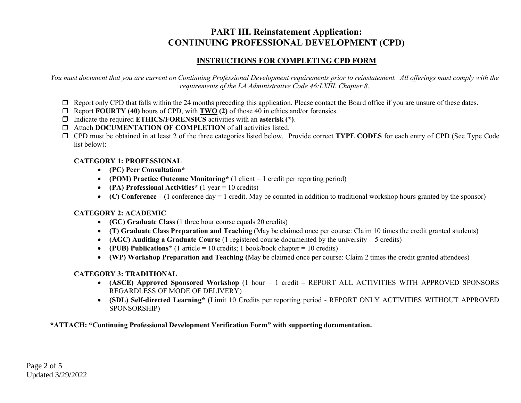# **PART III. Reinstatement Application: CONTINUING PROFESSIONAL DEVELOPMENT (CPD)**

## **INSTRUCTIONS FOR COMPLETING CPD FORM**

*You must document that you are current on Continuing Professional Development requirements prior to reinstatement. All offerings must comply with the requirements of the LA Administrative Code 46:LXIII. Chapter 8.*

- $\Box$  Report only CPD that falls within the 24 months preceding this application. Please contact the Board office if you are unsure of these dates.
- Report **FOURTY (40)** hours of CPD, with **TWO (2)** of those 40 in ethics and/or forensics.
- Indicate the required **ETHICS/FORENSICS** activities with an **asterisk (\*)**.
- $\Box$  Attach **DOCUMENTATION OF COMPLETION** of all activities listed.
- CPD must be obtained in at least 2 of the three categories listed below. Provide correct **TYPE CODES** for each entry of CPD (See Type Code list below):

## **CATEGORY 1: PROFESSIONAL**

- **(PC) Peer Consultation\***
- **(POM) Practice Outcome Monitoring\*** (1 client = 1 credit per reporting period)
- **(PA) Professional Activities\*** (1 year = 10 credits)
- **(C) Conference –** (1 conference day = 1 credit. May be counted in addition to traditional workshop hours granted by the sponsor)

## **CATEGORY 2: ACADEMIC**

- **(GC) Graduate Class** (1 three hour course equals 20 credits)
- **(T) Graduate Class Preparation and Teaching** (May be claimed once per course: Claim 10 times the credit granted students)
- **(AGC) Auditing a Graduate Course** (1 registered course documented by the university = 5 credits)
- **(PUB) Publications\*** (1 article = 10 credits; 1 book/book chapter = 10 credits)
- **(WP) Workshop Preparation and Teaching (**May be claimed once per course: Claim 2 times the credit granted attendees)

## **CATEGORY 3: TRADITIONAL**

- **(ASCE) Approved Sponsored Workshop** (1 hour = 1 credit REPORT ALL ACTIVITIES WITH APPROVED SPONSORS REGARDLESS OF MODE OF DELIVERY)
- **(SDL) Self-directed Learning\*** (Limit 10 Credits per reporting period REPORT ONLY ACTIVITIES WITHOUT APPROVED SPONSORSHIP)

**\*ATTACH: "Continuing Professional Development Verification Form" with supporting documentation.**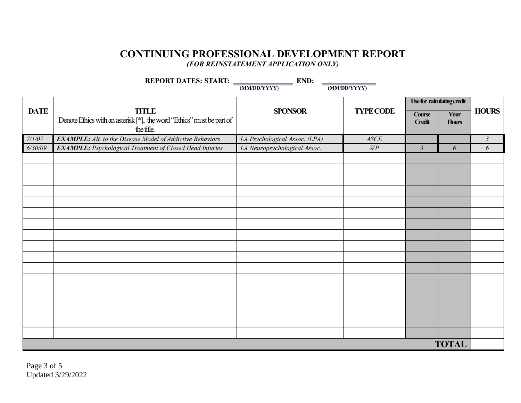## **CONTINUING PROFESSIONAL DEVELOPMENT REPORT** *(FOR REINSTATEMENT APPLICATION ONLY)*

| END:<br>REPORT DATES: START: |                                                                                                     |                               |                  |                                |                      |                |
|------------------------------|-----------------------------------------------------------------------------------------------------|-------------------------------|------------------|--------------------------------|----------------------|----------------|
|                              |                                                                                                     | (MM/DD/YYYY)                  | (MM/DD/YYYY)     |                                |                      |                |
|                              |                                                                                                     |                               |                  | Use for calculating credit     |                      |                |
| <b>DATE</b>                  | <b>TITLE</b><br>Denote Ethics with an asterisk [*], the word "Ethics" must be part of<br>the title. | <b>SPONSOR</b>                | <b>TYPE CODE</b> | <b>Course</b><br><b>Credit</b> | Your<br><b>Hours</b> | <b>HOURS</b>   |
| 7/1/07                       | <b>EXAMPLE:</b> Alt. to the Disease Model of Addictive Behaviors                                    | LA Psychological Assoc. (LPA) | ASCE             |                                |                      | $\mathfrak{Z}$ |
| 6/30/09                      | <b>EXAMPLE:</b> Psychological Treatment of Closed Head Injuries                                     | LA Neuropsychological Assoc.  | $W\!P$           | $\mathfrak{Z}$                 | 6                    | 6              |
|                              |                                                                                                     |                               |                  |                                |                      |                |
|                              |                                                                                                     |                               |                  |                                |                      |                |
|                              |                                                                                                     |                               |                  |                                |                      |                |
|                              |                                                                                                     |                               |                  |                                |                      |                |
|                              |                                                                                                     |                               |                  |                                |                      |                |
|                              |                                                                                                     |                               |                  |                                |                      |                |
|                              |                                                                                                     |                               |                  |                                |                      |                |
|                              |                                                                                                     |                               |                  |                                |                      |                |
|                              |                                                                                                     |                               |                  |                                |                      |                |
|                              |                                                                                                     |                               |                  |                                |                      |                |
|                              |                                                                                                     |                               |                  |                                |                      |                |
|                              |                                                                                                     |                               |                  |                                |                      |                |
|                              |                                                                                                     |                               |                  |                                |                      |                |
|                              |                                                                                                     |                               |                  |                                |                      |                |
|                              |                                                                                                     |                               |                  |                                |                      |                |
|                              |                                                                                                     |                               |                  |                                |                      |                |
|                              |                                                                                                     |                               |                  |                                |                      |                |
| <b>TOTAL</b>                 |                                                                                                     |                               |                  |                                |                      |                |

Page 3 of 5 Updated 3/29/2022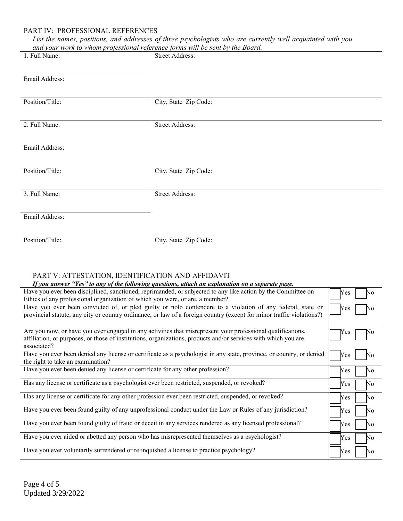#### PART IV: PROFESSIONAL REFERENCES

*List the names, positions, and addresses of three psychologists who are currently well acquainted with you and your work to whom professional reference forms will be sent by the Board.*

| 1. Full Name:   | <b>Street Address:</b> |
|-----------------|------------------------|
|                 |                        |
|                 |                        |
| Email Address:  |                        |
|                 |                        |
|                 |                        |
|                 |                        |
| Position/Title: | City, State Zip Code:  |
|                 |                        |
|                 |                        |
| 2. Full Name:   | <b>Street Address:</b> |
|                 |                        |
|                 |                        |
| Email Address:  |                        |
|                 |                        |
|                 |                        |
|                 |                        |
| Position/Title: | City, State Zip Code:  |
|                 |                        |
|                 |                        |
| 3. Full Name:   | <b>Street Address:</b> |
|                 |                        |
|                 |                        |
| Email Address:  |                        |
|                 |                        |
|                 |                        |
|                 |                        |
| Position/Title: | City, State Zip Code:  |
|                 |                        |
|                 |                        |
|                 |                        |

#### PART V: ATTESTATION, IDENTIFICATION AND AFFIDAVIT

| If you answer "Yes" to any of the following questions, attach an explanation on a separate page.                                                                                                                                             |            |
|----------------------------------------------------------------------------------------------------------------------------------------------------------------------------------------------------------------------------------------------|------------|
| Have you ever been disciplined, sanctioned, reprimanded, or subjected to any like action by the Committee on                                                                                                                                 | Yes<br>No  |
| Ethics of any professional organization of which you were, or are, a member?                                                                                                                                                                 |            |
| Have you ever been convicted of, or pled guilty or nolo contendere to a violation of any federal, state or<br>provincial statute, any city or country ordinance, or law of a foreign country (except for minor traffic violations?)          | Yes<br>No  |
| Are you now, or have you ever engaged in any activities that misrepresent your professional qualifications,<br>affiliation, or purposes, or those of institutions, organizations, products and/or services with which you are<br>associated? | Y es       |
| Have you ever been denied any license or certificate as a psychologist in any state, province, or country, or denied<br>the right to take an examination?                                                                                    | Yes<br>No  |
| Have you ever been denied any license or certificate for any other profession?                                                                                                                                                               | No.<br>Yes |
| Has any license or certificate as a psychologist ever been restricted, suspended, or revoked?                                                                                                                                                | No.<br>Yes |
| Has any license or certificate for any other profession ever been restricted, suspended, or revoked?                                                                                                                                         | No.<br>Yes |
| Have you ever been found guilty of any unprofessional conduct under the Law or Rules of any jurisdiction?                                                                                                                                    | Yes<br>No. |
| Have you ever been found guilty of fraud or deceit in any services rendered as any licensed professional?                                                                                                                                    | No.<br>Yes |
| Have you ever aided or abetted any person who has misrepresented themselves as a psychologist?                                                                                                                                               | No.<br>Yes |
| Have you ever voluntarily surrendered or relinquished a license to practice psychology?                                                                                                                                                      | No.<br>Yes |